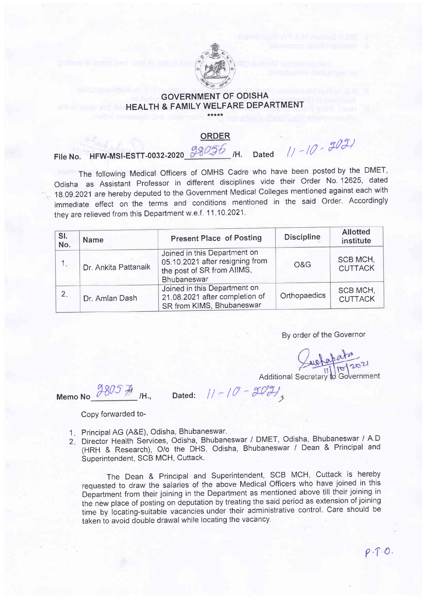

## GOVERNMENT OF ODISHA HEALTH & FAMILY WELFARE DEPARTMENT

## <u>ORDER</u>

File No. HFW-MSI-ESTT-0032-2020  $\frac{98056}{1}$  /H. Dated  $\frac{1}{10}$  -  $\frac{9031}{100}$ 

The following Medical Officers of OMHS Cadre who have been posted by the DMET, Odisha as Assistant Professor in different disciplines vide their Order No. 12625, dated 1g.og.2021are hereby deputed to the Government Medical Colleges mentioned against each with immediate effect on the terms and conditions mentioned in the said Order. Accordingly they are relieved from this Department w.e.f. 11.10.2021.

| SI.<br>No. | <b>Name</b>          | <b>Present Place of Posting</b>                                                                              | <b>Discipline</b> | <b>Allotted</b><br>institute |
|------------|----------------------|--------------------------------------------------------------------------------------------------------------|-------------------|------------------------------|
| 1.         | Dr. Ankita Pattanaik | Joined in this Department on<br>05.10.2021 after resigning from<br>the post of SR from AIIMS,<br>Bhubaneswar | O&G               | SCB MCH,<br><b>CUTTACK</b>   |
| 2.         | Dr. Amlan Dash       | Joined in this Department on<br>21.08.2021 after completion of<br>SR from KIMS, Bhubaneswar                  | Orthopaedics      | SCB MCH,<br><b>CUTTACK</b>   |

By order of the Governor

webapator<br>11/10/2021

Additional Secretary to Government

Memo No  $\frac{9805}{4}$  /H.,

Dated:  $11-(0-507)$ 

Copy forwarded to-

- 1. Principal AG (A&E), Odisha, Bhubaneswar.
- 1. Principal AG (A&L), Odisha, Bhubaneswar.<br>2. Director Health Services, Odisha, Bhubaneswar / DMET, Odisha, Bhubaneswar / A.D (HRH & Research), o/o the DHS, Odisha, Bhubaneswar / Dean & Principal and Superintendent, SCB MCH, Cuttack. 2

The Dean & Principal and Superintendent, SCB MCH, Cuttack is hereby requested to draw the salaries of the above Medical Officers who have joined in this Department from their joining in the Department as mentioned above till their joining in the new place of posting on deputation by treating the said period as extension of joining time by iocating-suitable vacancies under their administrative control. Care should be taken to avoid double drawal while locating the vacancy.